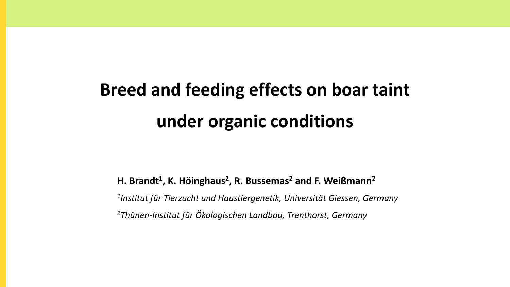# **Breed and feeding effects on boar taint under organic conditions**

**H. Brandt<sup>1</sup> , K. Höinghaus<sup>2</sup> , R. Bussemas<sup>2</sup> and F. Weißmann<sup>2</sup>** *1 Institut für Tierzucht und Haustiergenetik, Universität Giessen, Germany 2Thünen-Institut für Ökologischen Landbau, Trenthorst, Germany*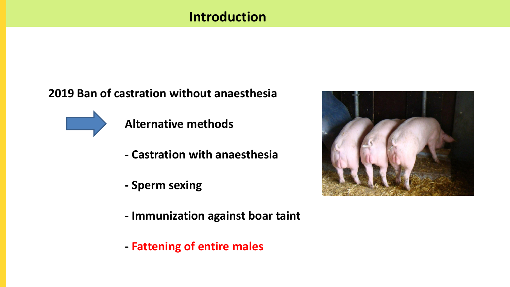# **Introduction**

#### **2019 Ban of castration without anaesthesia**



**Alternative methods**

- **- Castration with anaesthesia**
- **- Sperm sexing**
- **- Immunization against boar taint**
- **- Fattening of entire males**

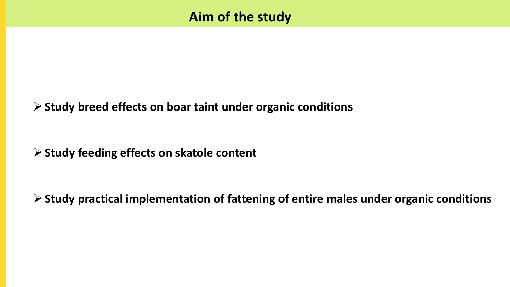#### **Study breed effects on boar taint under organic conditions**

#### **Study feeding effects on skatole content**

**Study practical implementation of fattening of entire males under organic conditions**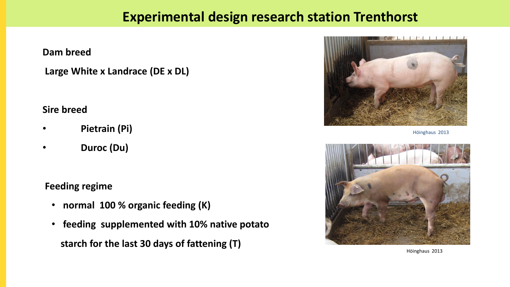#### **Experimental design research station Trenthorst**

**Dam breed**

**Large White x Landrace (DE x DL)**

**Sire breed**

- **Pietrain (Pi)**
- **Duroc (Du)**

**Feeding regime**

- **normal 100 % organic feeding (K)**
- **feeding supplemented with 10% native potato starch for the last 30 days of fattening (T)**



Höinghaus 2013



Höinghaus 2013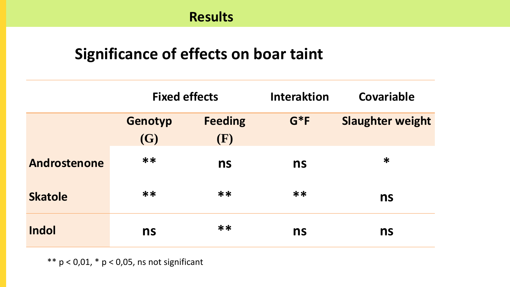# **Significance of effects on boar taint**

|                | <b>Fixed effects</b> |                       | <b>Interaktion</b> | <b>Covariable</b>       |
|----------------|----------------------|-----------------------|--------------------|-------------------------|
|                | Genotyp<br>(G)       | <b>Feeding</b><br>(F) | $G*F$              | <b>Slaughter weight</b> |
| Androstenone   | **                   | ns                    | ns                 | $\ast$                  |
| <b>Skatole</b> | **                   | **                    | **                 | ns                      |
| <b>Indol</b>   | ns                   | **                    | ns                 | ns                      |

 $** p < 0.01, * p < 0.05$ , ns not significant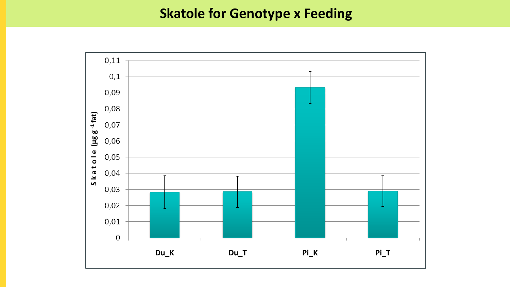## **Skatole for Genotype x Feeding**

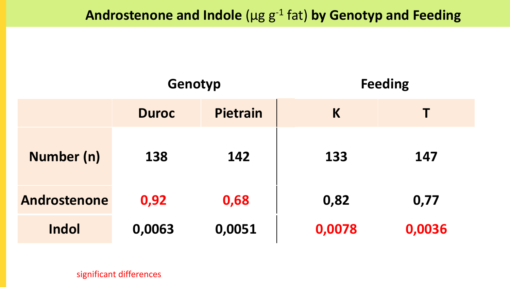|                     | Genotyp      |          | <b>Feeding</b> |        |
|---------------------|--------------|----------|----------------|--------|
|                     | <b>Duroc</b> | Pietrain | K              |        |
| Number (n)          | 138          | 142      | 133            | 147    |
| <b>Androstenone</b> | 0,92         | 0,68     | 0,82           | 0,77   |
| Indol               | 0,0063       | 0,0051   | 0,0078         | 0,0036 |

significant differences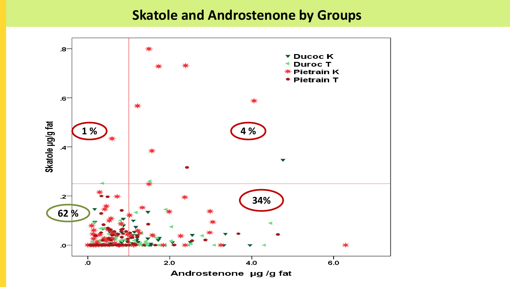#### **Skatole and Androstenone by Groups**

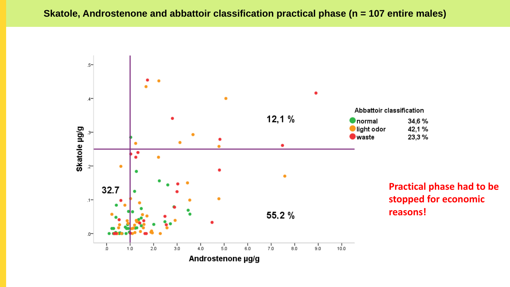